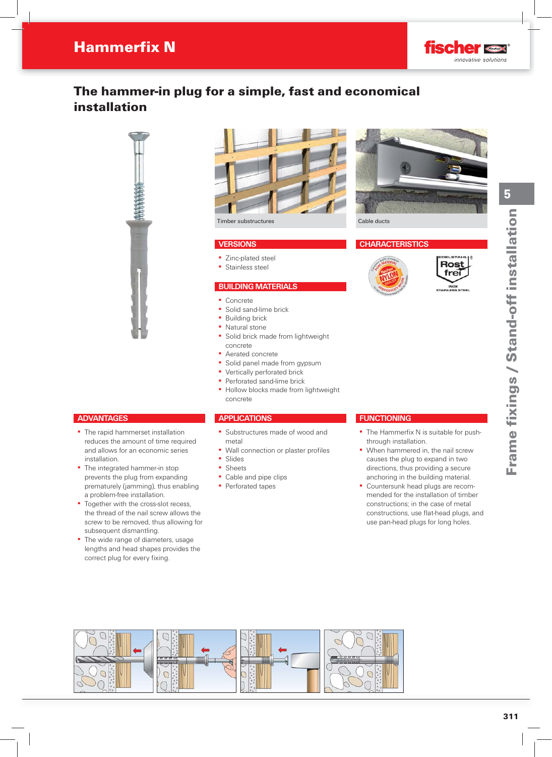

# The hammer-in plug for a simple, fast and economical installation





### **VERSIONS**

- Zinc-plated steel
- **•** Stainless steel

#### **BUILDING MATERIALS**

- Concrete
- Solid sand-lime brick
- **Building brick**
- Natural stone
- Solid brick made from lightweight concrete
- Aerated concrete
- **•** Solid panel made from gypsum
- **Vertically perforated brick**
- **Perforated sand-lime brick**
- **Hollow blocks made from lightweight** concrete

## **APPLICATIONS**

- Substructures made of wood and metal
- Wall connection or plaster profiles
- Slides
- Sheets
- Cable and pipe clips
- Perforated tapes



#### **CHARACTERISTICS**





5

## **ADVANTAGES**

- **The rapid hammerset installation** reduces the amount of time required and allows for an economic series installation.
- **•** The integrated hammer-in stop prevents the plug from expanding prematurely (jamming), thus enabling a problem-free installation.
- Together with the cross-slot recess, the thread of the nail screw allows the screw to be removed, thus allowing for subsequent dismantling.
- The wide range of diameters, usage lengths and head shapes provides the correct plug for every fixing.

## **FUNCTIONING**

- The Hammerfix N is suitable for pushthrough installation.
- **When hammered in, the nail screw** causes the plug to expand in two directions, thus providing a secure anchoring in the building material.
- Countersunk head plugs are recommended for the installation of timber constructions; in the case of metal constructions, use flat-head plugs, and use pan-head plugs for long holes.

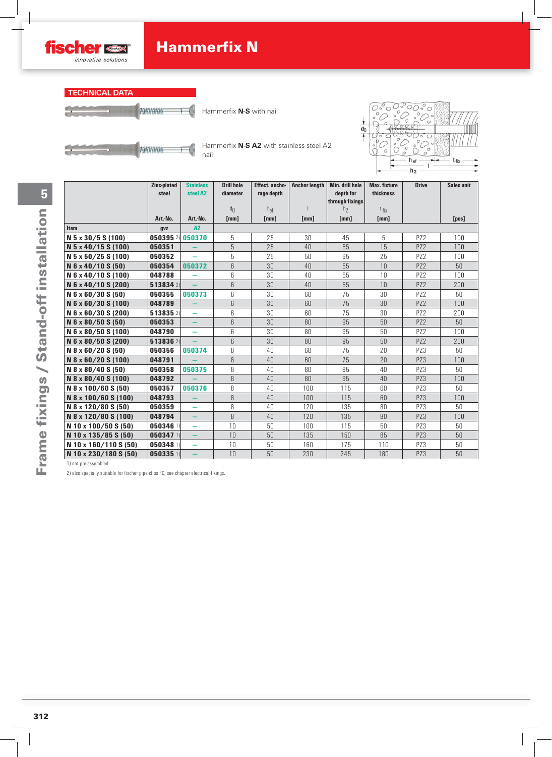



Hammerfix **N-S** with nail



Hammerfix **N-S A2** with stainless steel A2 nail



|                       | Zinc-plated     | <b>Stainless</b>         | <b>Drill hole</b> | <b>Effect.</b> ancho- | <b>Anchor length</b> | Min. drill hole              | <b>Max. fixture</b> | <b>Drive</b>    | Sales unit      |
|-----------------------|-----------------|--------------------------|-------------------|-----------------------|----------------------|------------------------------|---------------------|-----------------|-----------------|
|                       | steel           | steel A2                 | diameter          | rage depth            |                      | depth for<br>through fixings | thickness           |                 |                 |
|                       |                 |                          | dn                | $h_{\text{ef}}$       |                      | h <sub>2</sub>               | $t_{fix}$           |                 |                 |
|                       | Art.-No.        | Art.-No.                 | [mm]              | [mm]                  | [mm]                 | [mm]                         | [mm]                |                 | [pcs]           |
| <b>Item</b>           | gvz             | A2                       |                   |                       |                      |                              |                     |                 |                 |
| N 5 x 30/5 S (100)    | 050395 2 050370 |                          | 5                 | 25                    | 30                   | 45                           | 5                   | PZ <sub>2</sub> | 100             |
| N 5 x 40/15 S (100)   | 050351          |                          | 5                 | 25                    | 40                   | 55                           | 15                  | PZ <sub>2</sub> | 100             |
| N 5 x 50/25 S (100)   | 050352          | $\overline{\phantom{0}}$ | 5                 | 25                    | 50                   | 65                           | 25                  | P72             | 100             |
| N 6 x 40/10 S (50)    | 050354          | 050372                   | 6                 | 30                    | 40                   | 55                           | 10                  | PZ <sub>2</sub> | 50              |
| N 6 x 40/10 S (100)   | 048788          |                          | 6                 | 30                    | 40                   | 55                           | 10                  | PZ <sub>2</sub> | 100             |
| N 6 x 40/10 S (200)   | 513834 2)       |                          | 6                 | 30                    | 40                   | 55                           | 10                  | PZ <sub>2</sub> | 200             |
| N 6 x 60/30 S (50)    | 050355          | 050373                   | 6                 | 30                    | 60                   | 75                           | 30                  | PZ <sub>2</sub> | 50              |
| N 6 x 60/30 S (100)   | 048789          |                          | 6                 | 30                    | 60                   | 75                           | 30                  | PZ <sub>2</sub> | 100             |
| N 6 x 60/30 S (200)   | 513835 2)       | ÷                        | 6                 | 30                    | 60                   | 75                           | 30                  | PZ <sub>2</sub> | 200             |
| N 6 x 80/50 S (50)    | 050353          |                          | 6                 | 30                    | 80                   | 95                           | 50                  | PZ <sub>2</sub> | 50              |
| N 6 x 80/50 S (100)   | 048790          | ÷                        | 6                 | 30                    | 80                   | 95                           | 50                  | PZ <sub>2</sub> | 100             |
| N 6 x 80/50 S (200)   | 513836 2)       |                          | 6                 | 30                    | 80                   | 95                           | 50                  | PZ <sub>2</sub> | 200             |
| N 8 x 60/20 S (50)    | 050356          | 050374                   | 8                 | 40                    | 60                   | 75                           | 20                  | PZ3             | 50              |
| N 8 x 60/20 S (100)   | 048791          |                          | 8                 | 40                    | 60                   | 75                           | 20                  | PZ3             | 100             |
| N 8 x 80/40 S (50)    | 050358          | 050375                   | 8                 | 40                    | 80                   | 95                           | 40                  | PZ3             | 50              |
| N 8 x 80/40 S (100)   | 048792          |                          | 8                 | 40                    | 80                   | 95                           | 40                  | PZ3             | 100             |
| N 8 x 100/60 S (50)   | 050357          | 050376                   | 8                 | 40                    | 100                  | 115                          | 60                  | PZ3             | 50              |
| N 8 x 100/60 S (100)  | 048793          |                          | 8                 | 40                    | 100                  | 115                          | 60                  | PZ3             | 100             |
| N 8 x 120/80 S (50)   | 050359          | ÷                        | 8                 | 40                    | 120                  | 135                          | 80                  | PZ3             | 50              |
| N 8 x 120/80 S (100)  | 048794          | $\qquad \qquad -$        | 8                 | 40                    | 120                  | 135                          | 80                  | PZ3             | 100             |
| N 10 x 100/50 S (50)  | 050346 1)       | ÷                        | 10                | 50                    | 100                  | 115                          | 50                  | PZ3             | 50              |
| N 10 x 135/85 S (50)  | 050347 1)       | $\overline{\phantom{0}}$ | 10                | 50                    | 135                  | 150                          | 85                  | PZ3             | 50 <sup>°</sup> |
| N 10 x 160/110 S (50) | 050348 1)       | -                        | 10                | 50                    | 160                  | 175                          | 110                 | PZ3             | 50              |
| N 10 x 230/180 S (50) | 050335 1)       |                          | 10                | 50                    | 230                  | 245                          | 180                 | PZ3             | 50              |

1) not pre-assembled

2) also specially suitable for fischer pipe clips FC, see chapter electrical fixings.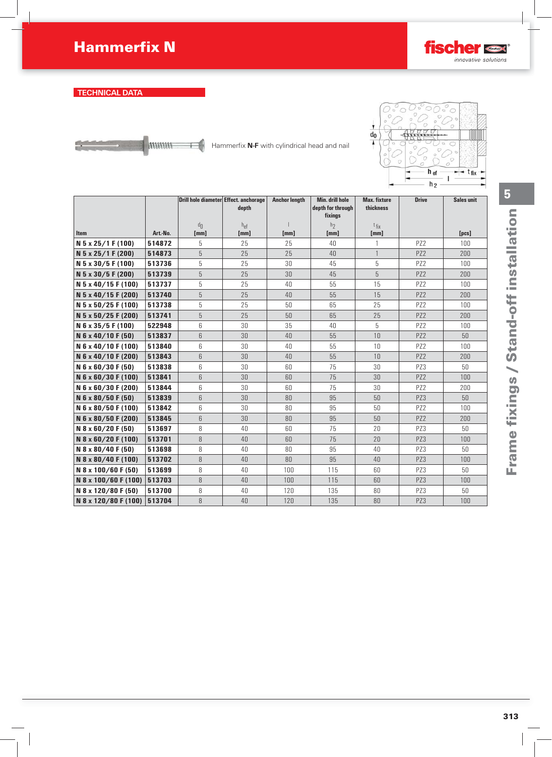

## **TECHNICAL DATA**



€

Hammerfix **N-F** with cylindrical head and nail



|                             |          | Drill hole diameter Effect. anchorage | depth            | <b>Anchor length</b> | <b>Min. drill hole</b><br>depth for through<br>fixings | <b>Max. fixture</b><br>thickness | <b>Drive</b>    | <b>Sales unit</b>  |
|-----------------------------|----------|---------------------------------------|------------------|----------------------|--------------------------------------------------------|----------------------------------|-----------------|--------------------|
| <b>Item</b>                 | Art.-No. | $d_{\Pi}$<br>[mm]                     | $h_{ef}$<br>[mm] | [mm]                 | h <sub>2</sub><br>[mm]                                 | $t_{fix}$<br>[mm]                |                 | [ <sub>pcs</sub> ] |
| N 5 x 25/1 F (100)          | 514872   | 5                                     | 25               | 25                   | 40                                                     |                                  | PZ <sub>2</sub> | 100                |
| N 5 x 25/1 F (200)          | 514873   | 5                                     | 25               | 25                   | 40                                                     | $\mathbf{1}$                     | PZ <sub>2</sub> | 200                |
| N 5 x 30/5 F (100)          | 513736   | 5                                     | 25               | 30                   | 45                                                     | 5                                | PZ <sub>2</sub> | 100                |
| N 5 x 30/5 F (200)          | 513739   | 5                                     | 25               | 30                   | 45                                                     | 5                                | PZ <sub>2</sub> | 200                |
| N 5 x 40/15 F (100)         | 513737   | 5                                     | 25               | 40                   | 55                                                     | 15                               | PZ <sub>2</sub> | 100                |
| N 5 x 40/15 F (200)         | 513740   | 5                                     | 25               | 40                   | 55                                                     | 15                               | PZ2             | 200                |
| N 5 x 50/25 F (100)         | 513738   | 5                                     | 25               | 50                   | 65                                                     | 25                               | PZ <sub>2</sub> | 100                |
| N 5 x 50/25 F (200)         | 513741   | 5                                     | 25               | 50                   | 65                                                     | 25                               | PZ <sub>2</sub> | 200                |
| N 6 x 35/5 F (100)          | 522948   | 6                                     | 30               | 35                   | 40                                                     | 5                                | PZ <sub>2</sub> | 100                |
| N 6 x 40/10 F (50)          | 513837   | 6                                     | 30               | 40                   | 55                                                     | 10                               | PZ <sub>2</sub> | 50                 |
| N 6 x 40/10 F (100)         | 513840   | 6                                     | 30               | 40                   | 55                                                     | 10                               | PZ2             | 100                |
| N 6 x 40/10 F (200)         | 513843   | 6                                     | 30               | 40                   | 55                                                     | 10                               | PZ <sub>2</sub> | 200                |
| N 6 x 60/30 F (50)          | 513838   | 6                                     | 30               | 60                   | 75                                                     | 30                               | PZ3             | 50                 |
| N 6 x 60/30 F (100)         | 513841   | 6                                     | 30               | 60                   | 75                                                     | 30                               | PZ <sub>2</sub> | 100                |
| N 6 x 60/30 F (200)         | 513844   | 6                                     | 30               | 60                   | 75                                                     | 30                               | PZ <sub>2</sub> | 200                |
| N 6 x 80/50 F (50)          | 513839   | 6                                     | 30               | 80                   | 95                                                     | 50                               | PZ3             | 50                 |
| N 6 x 80/50 F (100)         | 513842   | 6                                     | 30               | 80                   | 95                                                     | 50                               | PZ <sub>2</sub> | 100                |
| N 6 x 80/50 F (200)         | 513845   | 6                                     | 30               | 80                   | 95                                                     | 50                               | PZ <sub>2</sub> | 200                |
| N 8 x 60/20 F (50)          | 513697   | 8                                     | 40               | 60                   | 75                                                     | 20                               | PZ3             | 50                 |
| N 8 x 60/20 F (100)         | 513701   | 8                                     | 40               | 60                   | 75                                                     | 20                               | PZ3             | 100                |
| N 8 x 80/40 F (50)          | 513698   | 8                                     | 40               | 80                   | 95                                                     | 40                               | PZ3             | 50                 |
| N 8 x 80/40 F (100)         | 513702   | 8                                     | 40               | 80                   | 95                                                     | 40                               | PZ3             | 100                |
| N 8 x 100/60 F (50)         | 513699   | 8                                     | 40               | 100                  | 115                                                    | 60                               | PZ3             | 50                 |
| N 8 x 100/60 F (100) 513703 |          | 8                                     | 40               | 100                  | 115                                                    | 60                               | PZ3             | 100                |
| N 8 x 120/80 F (50)         | 513700   | 8                                     | 40               | 120                  | 135                                                    | 80                               | PZ3             | 50                 |
| N 8 x 120/80 F (100) 513704 |          | 8                                     | 40               | 120                  | 135                                                    | 80                               | PZ3             | 100                |